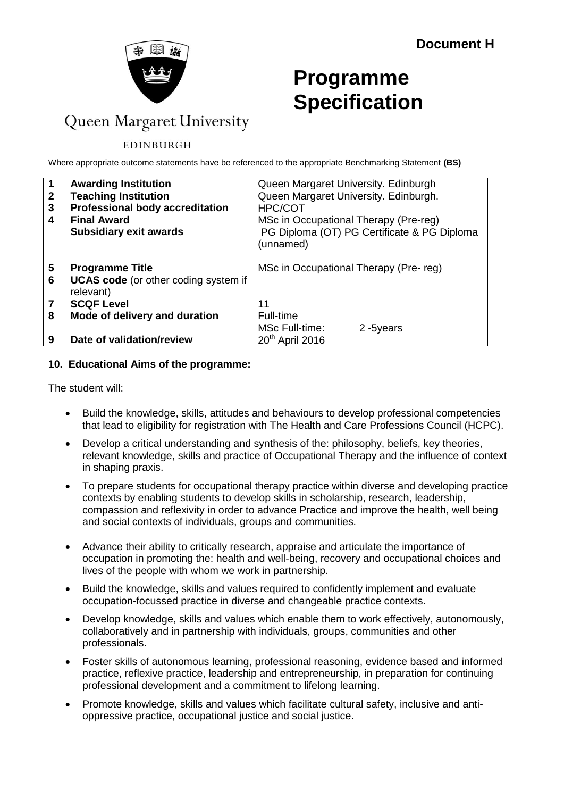

# **Programme Specification**

# Queen Margaret University

## EDINBURGH

Where appropriate outcome statements have be referenced to the appropriate Benchmarking Statement **(BS)**

| $\mathbf 1$  | <b>Awarding Institution</b>                              | Queen Margaret University. Edinburgh                     |  |  |
|--------------|----------------------------------------------------------|----------------------------------------------------------|--|--|
| $\mathbf{2}$ | <b>Teaching Institution</b>                              | Queen Margaret University. Edinburgh.                    |  |  |
| 3            | <b>Professional body accreditation</b>                   | <b>HPC/COT</b>                                           |  |  |
| 4            | <b>Final Award</b>                                       | MSc in Occupational Therapy (Pre-reg)                    |  |  |
|              | <b>Subsidiary exit awards</b>                            | PG Diploma (OT) PG Certificate & PG Diploma<br>(unnamed) |  |  |
| 5            | <b>Programme Title</b>                                   | MSc in Occupational Therapy (Pre-reg)                    |  |  |
| 6            | <b>UCAS code</b> (or other coding system if<br>relevant) |                                                          |  |  |
|              | <b>SCQF Level</b>                                        | 11                                                       |  |  |
| 8            | Mode of delivery and duration                            | <b>Full-time</b>                                         |  |  |
|              |                                                          | MSc Full-time:<br>2-5years                               |  |  |
| 9            | Date of validation/review                                | $20th$ April 2016                                        |  |  |

#### **10. Educational Aims of the programme:**

The student will:

- Build the knowledge, skills, attitudes and behaviours to develop professional competencies that lead to eligibility for registration with The Health and Care Professions Council (HCPC).
- Develop a critical understanding and synthesis of the: philosophy, beliefs, key theories, relevant knowledge, skills and practice of Occupational Therapy and the influence of context in shaping praxis.
- To prepare students for occupational therapy practice within diverse and developing practice contexts by enabling students to develop skills in scholarship, research, leadership, compassion and reflexivity in order to advance Practice and improve the health, well being and social contexts of individuals, groups and communities.
- Advance their ability to critically research, appraise and articulate the importance of occupation in promoting the: health and well-being, recovery and occupational choices and lives of the people with whom we work in partnership.
- Build the knowledge, skills and values required to confidently implement and evaluate occupation-focussed practice in diverse and changeable practice contexts.
- Develop knowledge, skills and values which enable them to work effectively, autonomously, collaboratively and in partnership with individuals, groups, communities and other professionals.
- Foster skills of autonomous learning, professional reasoning, evidence based and informed practice, reflexive practice, leadership and entrepreneurship, in preparation for continuing professional development and a commitment to lifelong learning.
- Promote knowledge, skills and values which facilitate cultural safety, inclusive and antioppressive practice, occupational justice and social justice.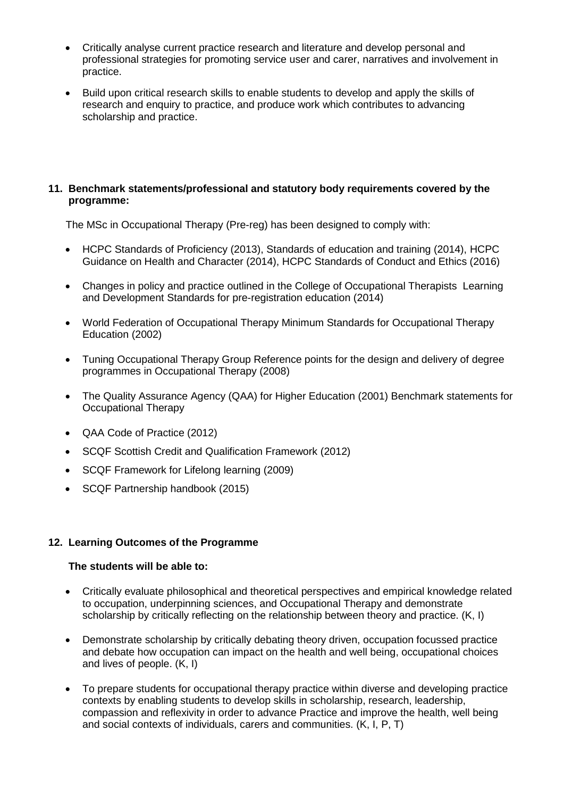- Critically analyse current practice research and literature and develop personal and professional strategies for promoting service user and carer, narratives and involvement in practice.
- Build upon critical research skills to enable students to develop and apply the skills of research and enquiry to practice, and produce work which contributes to advancing scholarship and practice.

#### **11. Benchmark statements/professional and statutory body requirements covered by the programme:**

The MSc in Occupational Therapy (Pre-reg) has been designed to comply with:

- HCPC Standards of Proficiency (2013), Standards of education and training (2014), HCPC Guidance on Health and Character (2014), HCPC Standards of Conduct and Ethics (2016)
- Changes in policy and practice outlined in the College of Occupational Therapists Learning and Development Standards for pre-registration education (2014)
- World Federation of Occupational Therapy Minimum Standards for Occupational Therapy Education (2002)
- Tuning Occupational Therapy Group Reference points for the design and delivery of degree programmes in Occupational Therapy (2008)
- The Quality Assurance Agency (QAA) for Higher Education (2001) Benchmark statements for Occupational Therapy
- QAA Code of Practice (2012)
- SCQF Scottish Credit and Qualification Framework (2012)
- SCQF Framework for Lifelong learning (2009)
- SCQF Partnership handbook (2015)

#### **12. Learning Outcomes of the Programme**

#### **The students will be able to:**

- Critically evaluate philosophical and theoretical perspectives and empirical knowledge related to occupation, underpinning sciences, and Occupational Therapy and demonstrate scholarship by critically reflecting on the relationship between theory and practice. (K, I)
- Demonstrate scholarship by critically debating theory driven, occupation focussed practice and debate how occupation can impact on the health and well being, occupational choices and lives of people. (K, I)
- To prepare students for occupational therapy practice within diverse and developing practice contexts by enabling students to develop skills in scholarship, research, leadership, compassion and reflexivity in order to advance Practice and improve the health, well being and social contexts of individuals, carers and communities. (K, I, P, T)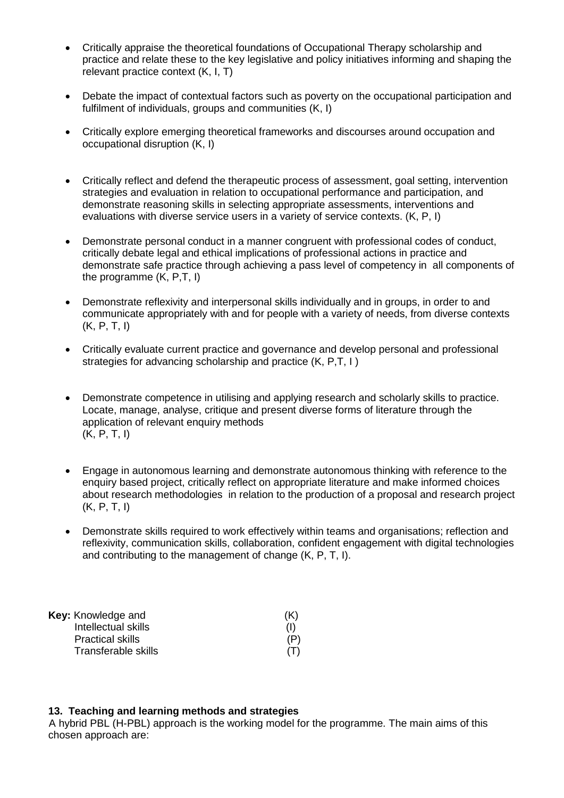- Critically appraise the theoretical foundations of Occupational Therapy scholarship and practice and relate these to the key legislative and policy initiatives informing and shaping the relevant practice context (K, I, T)
- Debate the impact of contextual factors such as poverty on the occupational participation and fulfilment of individuals, groups and communities (K, I)
- Critically explore emerging theoretical frameworks and discourses around occupation and occupational disruption (K, I)
- Critically reflect and defend the therapeutic process of assessment, goal setting, intervention strategies and evaluation in relation to occupational performance and participation, and demonstrate reasoning skills in selecting appropriate assessments, interventions and evaluations with diverse service users in a variety of service contexts. (K, P, I)
- Demonstrate personal conduct in a manner congruent with professional codes of conduct, critically debate legal and ethical implications of professional actions in practice and demonstrate safe practice through achieving a pass level of competency in all components of the programme (K, P,T, I)
- Demonstrate reflexivity and interpersonal skills individually and in groups, in order to and communicate appropriately with and for people with a variety of needs, from diverse contexts (K, P, T, I)
- Critically evaluate current practice and governance and develop personal and professional strategies for advancing scholarship and practice (K, P,T, I )
- Demonstrate competence in utilising and applying research and scholarly skills to practice. Locate, manage, analyse, critique and present diverse forms of literature through the application of relevant enquiry methods (K, P, T, I)
- Engage in autonomous learning and demonstrate autonomous thinking with reference to the enquiry based project, critically reflect on appropriate literature and make informed choices about research methodologies in relation to the production of a proposal and research project (K, P, T, I)
- Demonstrate skills required to work effectively within teams and organisations; reflection and reflexivity, communication skills, collaboration, confident engagement with digital technologies and contributing to the management of change (K, P, T, I).

| (K) |
|-----|
| (1) |
| (P) |
| (T) |
|     |

#### **13. Teaching and learning methods and strategies**

A hybrid PBL (H-PBL) approach is the working model for the programme. The main aims of this chosen approach are: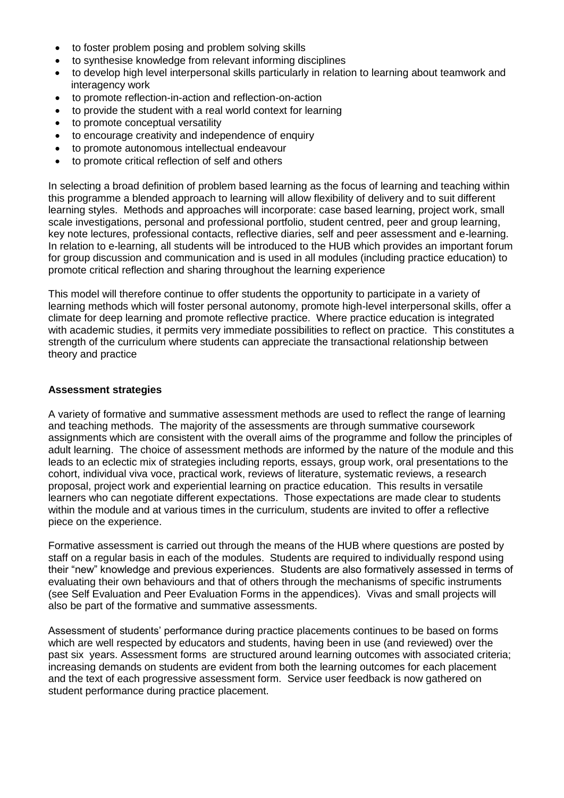- to foster problem posing and problem solving skills
- to synthesise knowledge from relevant informing disciplines
- to develop high level interpersonal skills particularly in relation to learning about teamwork and interagency work
- to promote reflection-in-action and reflection-on-action
- to provide the student with a real world context for learning
- to promote conceptual versatility
- to encourage creativity and independence of enquiry
- to promote autonomous intellectual endeavour
- to promote critical reflection of self and others

In selecting a broad definition of problem based learning as the focus of learning and teaching within this programme a blended approach to learning will allow flexibility of delivery and to suit different learning styles. Methods and approaches will incorporate: case based learning, project work, small scale investigations, personal and professional portfolio, student centred, peer and group learning, key note lectures, professional contacts, reflective diaries, self and peer assessment and e-learning. In relation to e-learning, all students will be introduced to the HUB which provides an important forum for group discussion and communication and is used in all modules (including practice education) to promote critical reflection and sharing throughout the learning experience

This model will therefore continue to offer students the opportunity to participate in a variety of learning methods which will foster personal autonomy, promote high-level interpersonal skills, offer a climate for deep learning and promote reflective practice. Where practice education is integrated with academic studies, it permits very immediate possibilities to reflect on practice. This constitutes a strength of the curriculum where students can appreciate the transactional relationship between theory and practice

#### **Assessment strategies**

A variety of formative and summative assessment methods are used to reflect the range of learning and teaching methods. The majority of the assessments are through summative coursework assignments which are consistent with the overall aims of the programme and follow the principles of adult learning. The choice of assessment methods are informed by the nature of the module and this leads to an eclectic mix of strategies including reports, essays, group work, oral presentations to the cohort, individual viva voce, practical work, reviews of literature, systematic reviews, a research proposal, project work and experiential learning on practice education. This results in versatile learners who can negotiate different expectations. Those expectations are made clear to students within the module and at various times in the curriculum, students are invited to offer a reflective piece on the experience.

Formative assessment is carried out through the means of the HUB where questions are posted by staff on a regular basis in each of the modules. Students are required to individually respond using their "new" knowledge and previous experiences. Students are also formatively assessed in terms of evaluating their own behaviours and that of others through the mechanisms of specific instruments (see Self Evaluation and Peer Evaluation Forms in the appendices). Vivas and small projects will also be part of the formative and summative assessments.

Assessment of students' performance during practice placements continues to be based on forms which are well respected by educators and students, having been in use (and reviewed) over the past six years. Assessment forms are structured around learning outcomes with associated criteria; increasing demands on students are evident from both the learning outcomes for each placement and the text of each progressive assessment form. Service user feedback is now gathered on student performance during practice placement.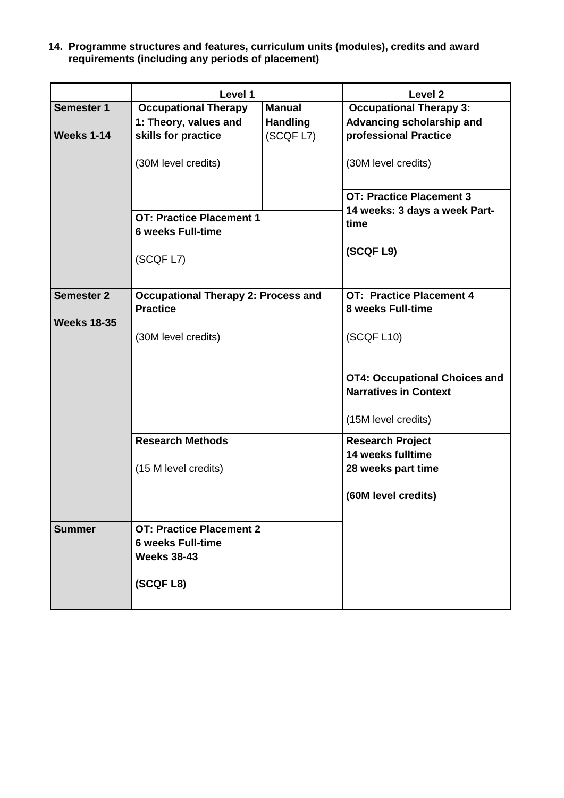**14. Programme structures and features, curriculum units (modules), credits and award requirements (including any periods of placement)**

|                    | Level 1                                    |                 | Level 2                              |
|--------------------|--------------------------------------------|-----------------|--------------------------------------|
| <b>Semester 1</b>  | <b>Occupational Therapy</b>                | <b>Manual</b>   | <b>Occupational Therapy 3:</b>       |
|                    | 1: Theory, values and                      | <b>Handling</b> | Advancing scholarship and            |
| <b>Weeks 1-14</b>  | skills for practice                        | (SCQF L7)       | professional Practice                |
|                    | (30M level credits)                        |                 | (30M level credits)                  |
|                    |                                            |                 | <b>OT: Practice Placement 3</b>      |
|                    |                                            |                 | 14 weeks: 3 days a week Part-        |
|                    | <b>OT: Practice Placement 1</b>            |                 | time                                 |
|                    | <b>6 weeks Full-time</b>                   |                 |                                      |
|                    | (SCQF L7)                                  |                 | (SCQF L9)                            |
|                    |                                            |                 |                                      |
| <b>Semester 2</b>  | <b>Occupational Therapy 2: Process and</b> |                 | <b>OT: Practice Placement 4</b>      |
|                    | <b>Practice</b>                            |                 | <b>8 weeks Full-time</b>             |
| <b>Weeks 18-35</b> |                                            |                 |                                      |
|                    | (30M level credits)                        |                 | (SCQF L10)                           |
|                    |                                            |                 |                                      |
|                    |                                            |                 | <b>OT4: Occupational Choices and</b> |
|                    |                                            |                 | <b>Narratives in Context</b>         |
|                    |                                            |                 |                                      |
|                    |                                            |                 | (15M level credits)                  |
|                    | <b>Research Methods</b>                    |                 | <b>Research Project</b>              |
|                    |                                            |                 | 14 weeks fulltime                    |
|                    | (15 M level credits)                       |                 | 28 weeks part time                   |
|                    |                                            |                 | (60M level credits)                  |
| <b>Summer</b>      | <b>OT: Practice Placement 2</b>            |                 |                                      |
|                    | <b>6 weeks Full-time</b>                   |                 |                                      |
|                    | <b>Weeks 38-43</b>                         |                 |                                      |
|                    |                                            |                 |                                      |
|                    | (SCQF L8)                                  |                 |                                      |
|                    |                                            |                 |                                      |